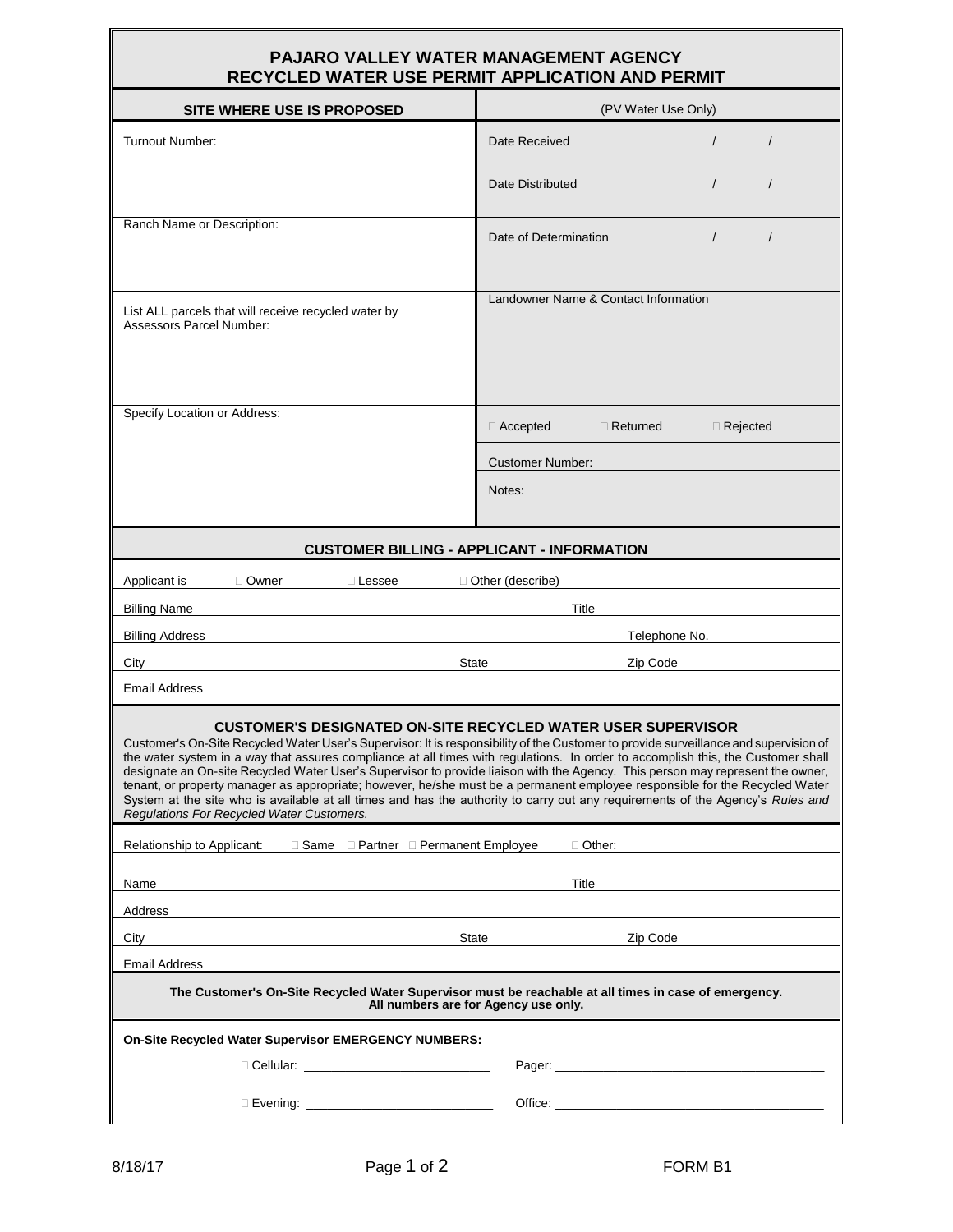# **PAJARO VALLEY WATER MANAGEMENT AGENCY**

| <b>RECYCLED WATER USE PERMIT APPLICATION AND PERMIT</b>                                                          |                                                                                                                                                                                                                                                                                                                                                                                                                                                                                                                                                                                                                                                                             |  |  |  |
|------------------------------------------------------------------------------------------------------------------|-----------------------------------------------------------------------------------------------------------------------------------------------------------------------------------------------------------------------------------------------------------------------------------------------------------------------------------------------------------------------------------------------------------------------------------------------------------------------------------------------------------------------------------------------------------------------------------------------------------------------------------------------------------------------------|--|--|--|
| SITE WHERE USE IS PROPOSED                                                                                       | (PV Water Use Only)                                                                                                                                                                                                                                                                                                                                                                                                                                                                                                                                                                                                                                                         |  |  |  |
| <b>Turnout Number:</b>                                                                                           | Date Received                                                                                                                                                                                                                                                                                                                                                                                                                                                                                                                                                                                                                                                               |  |  |  |
|                                                                                                                  | Date Distributed<br>$\prime$<br>$\prime$                                                                                                                                                                                                                                                                                                                                                                                                                                                                                                                                                                                                                                    |  |  |  |
| Ranch Name or Description:                                                                                       | Date of Determination<br>$\prime$<br>$\prime$                                                                                                                                                                                                                                                                                                                                                                                                                                                                                                                                                                                                                               |  |  |  |
| List ALL parcels that will receive recycled water by<br><b>Assessors Parcel Number:</b>                          | Landowner Name & Contact Information                                                                                                                                                                                                                                                                                                                                                                                                                                                                                                                                                                                                                                        |  |  |  |
| Specify Location or Address:                                                                                     | $\Box$ Accepted<br>$\Box$ Returned<br>$\Box$ Rejected                                                                                                                                                                                                                                                                                                                                                                                                                                                                                                                                                                                                                       |  |  |  |
|                                                                                                                  | <b>Customer Number:</b>                                                                                                                                                                                                                                                                                                                                                                                                                                                                                                                                                                                                                                                     |  |  |  |
|                                                                                                                  | Notes:                                                                                                                                                                                                                                                                                                                                                                                                                                                                                                                                                                                                                                                                      |  |  |  |
| <b>CUSTOMER BILLING - APPLICANT - INFORMATION</b>                                                                |                                                                                                                                                                                                                                                                                                                                                                                                                                                                                                                                                                                                                                                                             |  |  |  |
| Applicant is<br>□ Owner<br>$\Box$ Lessee                                                                         | □ Other (describe)                                                                                                                                                                                                                                                                                                                                                                                                                                                                                                                                                                                                                                                          |  |  |  |
| <b>Billing Name</b>                                                                                              | Title                                                                                                                                                                                                                                                                                                                                                                                                                                                                                                                                                                                                                                                                       |  |  |  |
| <b>Billing Address</b>                                                                                           | Telephone No.                                                                                                                                                                                                                                                                                                                                                                                                                                                                                                                                                                                                                                                               |  |  |  |
| City<br>State                                                                                                    | Zip Code                                                                                                                                                                                                                                                                                                                                                                                                                                                                                                                                                                                                                                                                    |  |  |  |
| <b>Email Address</b>                                                                                             |                                                                                                                                                                                                                                                                                                                                                                                                                                                                                                                                                                                                                                                                             |  |  |  |
| <b>CUSTOMER'S DESIGNATED ON-SITE RECYCLED WATER USER SUPERVISOR</b><br>Regulations For Recycled Water Customers. | Customer's On-Site Recycled Water User's Supervisor: It is responsibility of the Customer to provide surveillance and supervision of<br>the water system in a way that assures compliance at all times with regulations. In order to accomplish this, the Customer shall<br>designate an On-site Recycled Water User's Supervisor to provide liaison with the Agency. This person may represent the owner,<br>tenant, or property manager as appropriate; however, he/she must be a permanent employee responsible for the Recycled Water<br>System at the site who is available at all times and has the authority to carry out any requirements of the Agency's Rules and |  |  |  |
|                                                                                                                  | $\Box$ Other:                                                                                                                                                                                                                                                                                                                                                                                                                                                                                                                                                                                                                                                               |  |  |  |
| Name                                                                                                             | Title                                                                                                                                                                                                                                                                                                                                                                                                                                                                                                                                                                                                                                                                       |  |  |  |
| Address                                                                                                          |                                                                                                                                                                                                                                                                                                                                                                                                                                                                                                                                                                                                                                                                             |  |  |  |
| City                                                                                                             | State State<br>Zip Code                                                                                                                                                                                                                                                                                                                                                                                                                                                                                                                                                                                                                                                     |  |  |  |
| <b>Email Address</b>                                                                                             |                                                                                                                                                                                                                                                                                                                                                                                                                                                                                                                                                                                                                                                                             |  |  |  |
|                                                                                                                  | The Customer's On-Site Recycled Water Supervisor must be reachable at all times in case of emergency.<br>All numbers are for Agency use only.                                                                                                                                                                                                                                                                                                                                                                                                                                                                                                                               |  |  |  |
| <b>On-Site Recycled Water Supervisor EMERGENCY NUMBERS:</b>                                                      |                                                                                                                                                                                                                                                                                                                                                                                                                                                                                                                                                                                                                                                                             |  |  |  |
|                                                                                                                  |                                                                                                                                                                                                                                                                                                                                                                                                                                                                                                                                                                                                                                                                             |  |  |  |
| □ Evening: _______________________________                                                                       |                                                                                                                                                                                                                                                                                                                                                                                                                                                                                                                                                                                                                                                                             |  |  |  |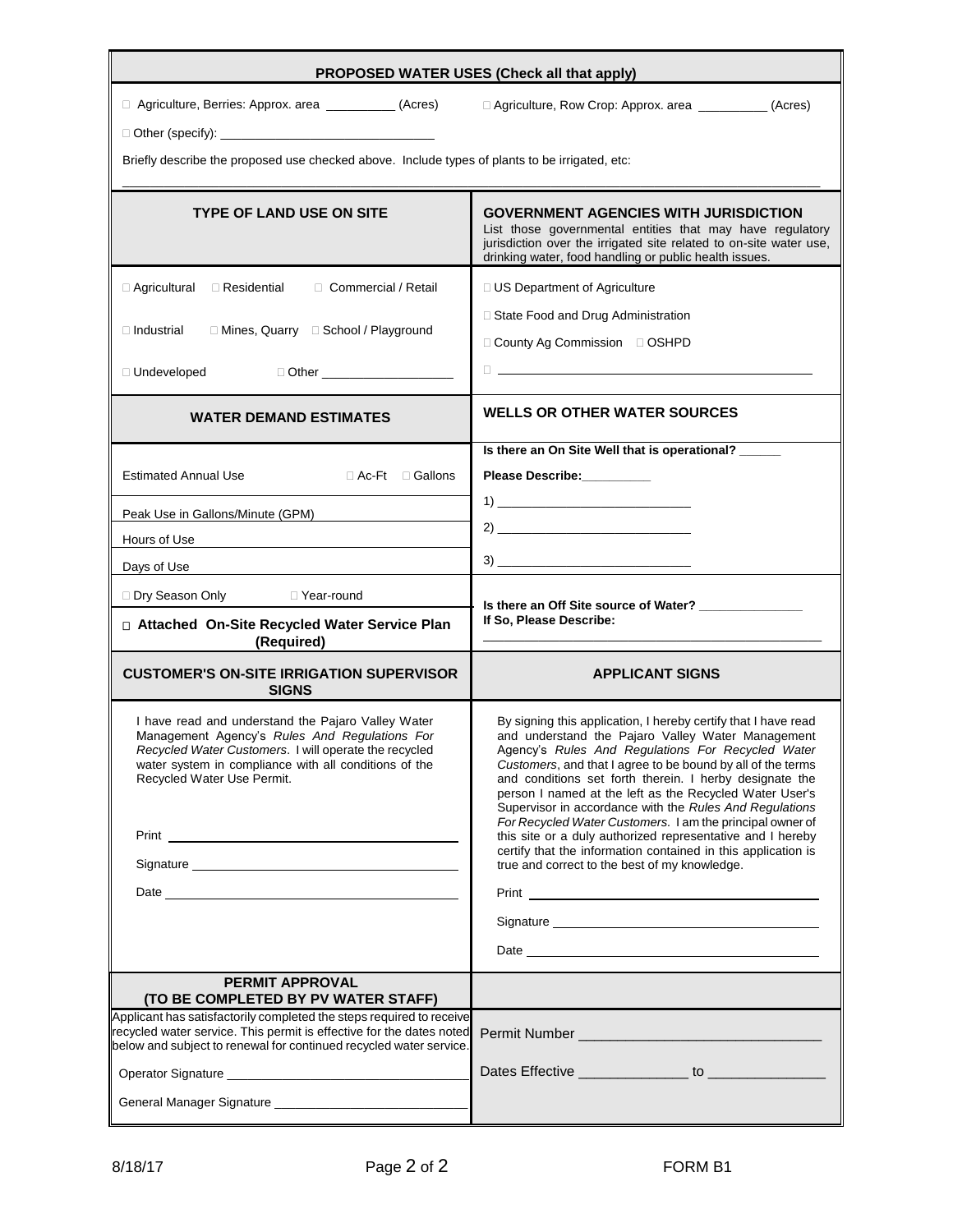| PROPOSED WATER USES (Check all that apply)                                                                                                                                                                                                          |                                                                                                                                                                                                                                                                                                                                                                                                                                                                                                                                                                                                                                                                                                                                                                                                                                                                                                         |  |  |  |  |  |
|-----------------------------------------------------------------------------------------------------------------------------------------------------------------------------------------------------------------------------------------------------|---------------------------------------------------------------------------------------------------------------------------------------------------------------------------------------------------------------------------------------------------------------------------------------------------------------------------------------------------------------------------------------------------------------------------------------------------------------------------------------------------------------------------------------------------------------------------------------------------------------------------------------------------------------------------------------------------------------------------------------------------------------------------------------------------------------------------------------------------------------------------------------------------------|--|--|--|--|--|
| □ Agriculture, Berries: Approx. area __________(Acres)                                                                                                                                                                                              | □ Agriculture, Row Crop: Approx. area ___________ (Acres)                                                                                                                                                                                                                                                                                                                                                                                                                                                                                                                                                                                                                                                                                                                                                                                                                                               |  |  |  |  |  |
|                                                                                                                                                                                                                                                     |                                                                                                                                                                                                                                                                                                                                                                                                                                                                                                                                                                                                                                                                                                                                                                                                                                                                                                         |  |  |  |  |  |
| Briefly describe the proposed use checked above. Include types of plants to be irrigated, etc:                                                                                                                                                      |                                                                                                                                                                                                                                                                                                                                                                                                                                                                                                                                                                                                                                                                                                                                                                                                                                                                                                         |  |  |  |  |  |
|                                                                                                                                                                                                                                                     |                                                                                                                                                                                                                                                                                                                                                                                                                                                                                                                                                                                                                                                                                                                                                                                                                                                                                                         |  |  |  |  |  |
| <b>TYPE OF LAND USE ON SITE</b>                                                                                                                                                                                                                     | <b>GOVERNMENT AGENCIES WITH JURISDICTION</b><br>List those governmental entities that may have regulatory<br>jurisdiction over the irrigated site related to on-site water use,<br>drinking water, food handling or public health issues.                                                                                                                                                                                                                                                                                                                                                                                                                                                                                                                                                                                                                                                               |  |  |  |  |  |
| □ Agricultural □ Residential □ Commercial / Retail                                                                                                                                                                                                  | □ US Department of Agriculture                                                                                                                                                                                                                                                                                                                                                                                                                                                                                                                                                                                                                                                                                                                                                                                                                                                                          |  |  |  |  |  |
| □ Mines, Quarry □ School / Playground<br>$\square$ Industrial                                                                                                                                                                                       | □ State Food and Drug Administration                                                                                                                                                                                                                                                                                                                                                                                                                                                                                                                                                                                                                                                                                                                                                                                                                                                                    |  |  |  |  |  |
|                                                                                                                                                                                                                                                     | □ County Ag Commission □ OSHPD                                                                                                                                                                                                                                                                                                                                                                                                                                                                                                                                                                                                                                                                                                                                                                                                                                                                          |  |  |  |  |  |
| □ Other _______________________<br>□ Undeveloped                                                                                                                                                                                                    | $\Box$ . The contract of the contract of the contract of the contract of the contract of the contract of the contract of the contract of the contract of the contract of the contract of the contract of the contract of the co                                                                                                                                                                                                                                                                                                                                                                                                                                                                                                                                                                                                                                                                         |  |  |  |  |  |
| <b>WATER DEMAND ESTIMATES</b>                                                                                                                                                                                                                       | <b>WELLS OR OTHER WATER SOURCES</b>                                                                                                                                                                                                                                                                                                                                                                                                                                                                                                                                                                                                                                                                                                                                                                                                                                                                     |  |  |  |  |  |
|                                                                                                                                                                                                                                                     | Is there an On Site Well that is operational?                                                                                                                                                                                                                                                                                                                                                                                                                                                                                                                                                                                                                                                                                                                                                                                                                                                           |  |  |  |  |  |
| <b>Estimated Annual Use</b><br>$\Box$ Ac-Ft $\Box$ Gallons                                                                                                                                                                                          | Please Describe:________                                                                                                                                                                                                                                                                                                                                                                                                                                                                                                                                                                                                                                                                                                                                                                                                                                                                                |  |  |  |  |  |
| Peak Use in Gallons/Minute (GPM)                                                                                                                                                                                                                    | $\begin{tabular}{c} {\bf 2)} \end{tabular}$                                                                                                                                                                                                                                                                                                                                                                                                                                                                                                                                                                                                                                                                                                                                                                                                                                                             |  |  |  |  |  |
| Hours of Use                                                                                                                                                                                                                                        |                                                                                                                                                                                                                                                                                                                                                                                                                                                                                                                                                                                                                                                                                                                                                                                                                                                                                                         |  |  |  |  |  |
| Days of Use                                                                                                                                                                                                                                         |                                                                                                                                                                                                                                                                                                                                                                                                                                                                                                                                                                                                                                                                                                                                                                                                                                                                                                         |  |  |  |  |  |
| □ Dry Season Only □ Year-round                                                                                                                                                                                                                      | Is there an Off Site source of Water?                                                                                                                                                                                                                                                                                                                                                                                                                                                                                                                                                                                                                                                                                                                                                                                                                                                                   |  |  |  |  |  |
| □ Attached On-Site Recycled Water Service Plan<br>(Required)                                                                                                                                                                                        | If So, Please Describe:                                                                                                                                                                                                                                                                                                                                                                                                                                                                                                                                                                                                                                                                                                                                                                                                                                                                                 |  |  |  |  |  |
| <b>CUSTOMER'S ON-SITE IRRIGATION SUPERVISOR</b><br><b>SIGNS</b>                                                                                                                                                                                     | <b>APPLICANT SIGNS</b>                                                                                                                                                                                                                                                                                                                                                                                                                                                                                                                                                                                                                                                                                                                                                                                                                                                                                  |  |  |  |  |  |
| I have read and understand the Pajaro Valley Water<br>Management Agency's Rules And Regulations For<br>Recycled Water Customers. I will operate the recycled<br>water system in compliance with all conditions of the<br>Recycled Water Use Permit. | By signing this application, I hereby certify that I have read<br>and understand the Pajaro Valley Water Management<br>Agency's Rules And Regulations For Recycled Water<br>Customers, and that I agree to be bound by all of the terms<br>and conditions set forth therein. I herby designate the<br>person I named at the left as the Recycled Water User's<br>Supervisor in accordance with the Rules And Regulations<br>For Recycled Water Customers. I am the principal owner of<br>this site or a duly authorized representative and I hereby<br>certify that the information contained in this application is<br>true and correct to the best of my knowledge.<br>Signature experience and the state of the state of the state of the state of the state of the state of the state of the state of the state of the state of the state of the state of the state of the state of the state of th |  |  |  |  |  |
| <b>PERMIT APPROVAL</b><br>(TO BE COMPLETED BY PV WATER STAFF)                                                                                                                                                                                       |                                                                                                                                                                                                                                                                                                                                                                                                                                                                                                                                                                                                                                                                                                                                                                                                                                                                                                         |  |  |  |  |  |
| Applicant has satisfactorily completed the steps required to receive<br>recycled water service. This permit is effective for the dates noted<br>below and subject to renewal for continued recycled water service.                                  |                                                                                                                                                                                                                                                                                                                                                                                                                                                                                                                                                                                                                                                                                                                                                                                                                                                                                                         |  |  |  |  |  |
|                                                                                                                                                                                                                                                     |                                                                                                                                                                                                                                                                                                                                                                                                                                                                                                                                                                                                                                                                                                                                                                                                                                                                                                         |  |  |  |  |  |
|                                                                                                                                                                                                                                                     |                                                                                                                                                                                                                                                                                                                                                                                                                                                                                                                                                                                                                                                                                                                                                                                                                                                                                                         |  |  |  |  |  |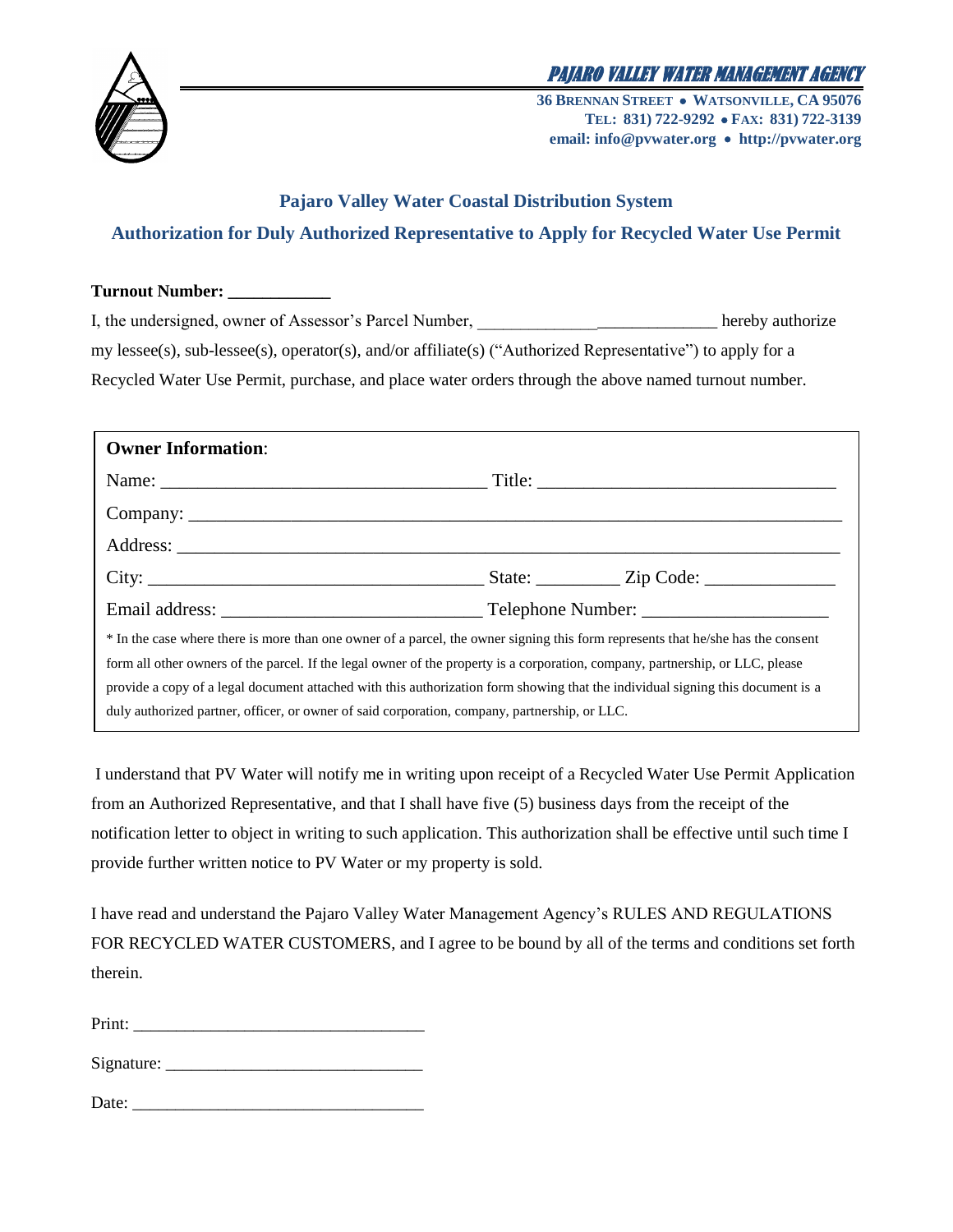



**36 BRENNAN STREET WATSONVILLE, CA 95076 TEL: 831) 722-9292 FAX: 831) 722-3139 email: info@pvwater.org http://pvwater.org**

## **Pajaro Valley Water Coastal Distribution System Authorization for Duly Authorized Representative to Apply for Recycled Water Use Permit**

| <b>Turnout Number:</b> |  |
|------------------------|--|
|------------------------|--|

I, the undersigned, owner of Assessor's Parcel Number, hereby authorize my lessee(s), sub-lessee(s), operator(s), and/or affiliate(s) ("Authorized Representative") to apply for a Recycled Water Use Permit, purchase, and place water orders through the above named turnout number.

| <b>Owner Information:</b>                                                                                                        |  |  |  |  |
|----------------------------------------------------------------------------------------------------------------------------------|--|--|--|--|
|                                                                                                                                  |  |  |  |  |
|                                                                                                                                  |  |  |  |  |
|                                                                                                                                  |  |  |  |  |
|                                                                                                                                  |  |  |  |  |
|                                                                                                                                  |  |  |  |  |
| * In the case where there is more than one owner of a parcel, the owner signing this form represents that he/she has the consent |  |  |  |  |
| form all other owners of the parcel. If the legal owner of the property is a corporation, company, partnership, or LLC, please   |  |  |  |  |
| provide a copy of a legal document attached with this authorization form showing that the individual signing this document is a  |  |  |  |  |
| duly authorized partner, officer, or owner of said corporation, company, partnership, or LLC.                                    |  |  |  |  |

I understand that PV Water will notify me in writing upon receipt of a Recycled Water Use Permit Application from an Authorized Representative, and that I shall have five (5) business days from the receipt of the notification letter to object in writing to such application. This authorization shall be effective until such time I provide further written notice to PV Water or my property is sold.

I have read and understand the Pajaro Valley Water Management Agency's RULES AND REGULATIONS FOR RECYCLED WATER CUSTOMERS, and I agree to be bound by all of the terms and conditions set forth therein.

Print: \_\_\_\_\_\_\_\_\_\_\_\_\_\_\_\_\_\_\_\_\_\_\_\_\_\_\_\_\_\_\_\_\_\_

Signature: \_\_\_\_\_\_\_\_\_\_\_\_\_\_\_\_\_\_\_\_\_\_\_\_\_\_\_\_\_\_

| Date: |  |  |  |
|-------|--|--|--|
|       |  |  |  |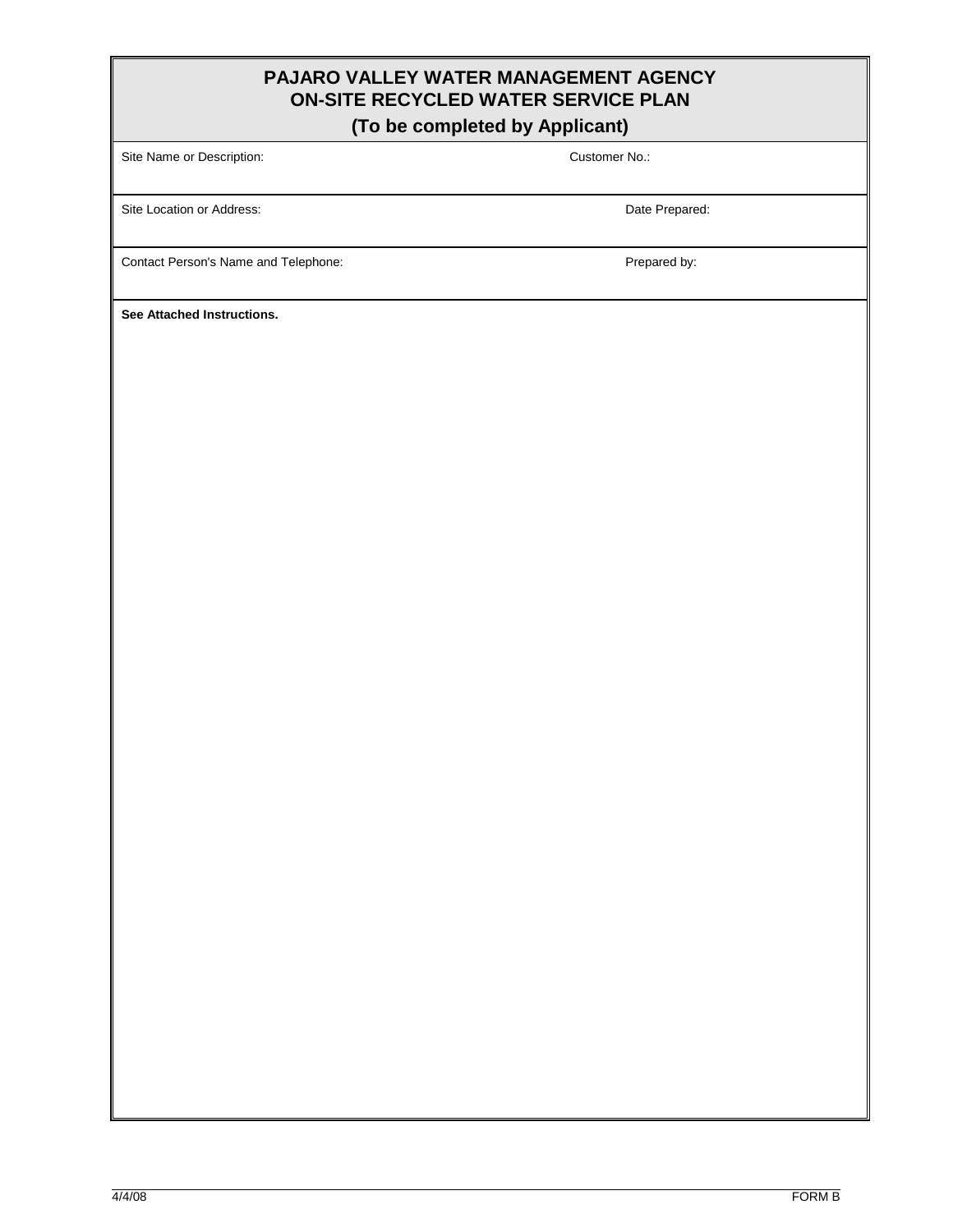### **PAJARO VALLEY WATER MANAGEMENT AGENCY ON-SITE RECYCLED WATER SERVICE PLAN**

#### **(To be completed by Applicant)**

Site Name or Description: Customer No.:

Site Location or Address: **Date Prepared:** Date Prepared:

Contact Person's Name and Telephone: example and the prepared by:

**See Attached Instructions.**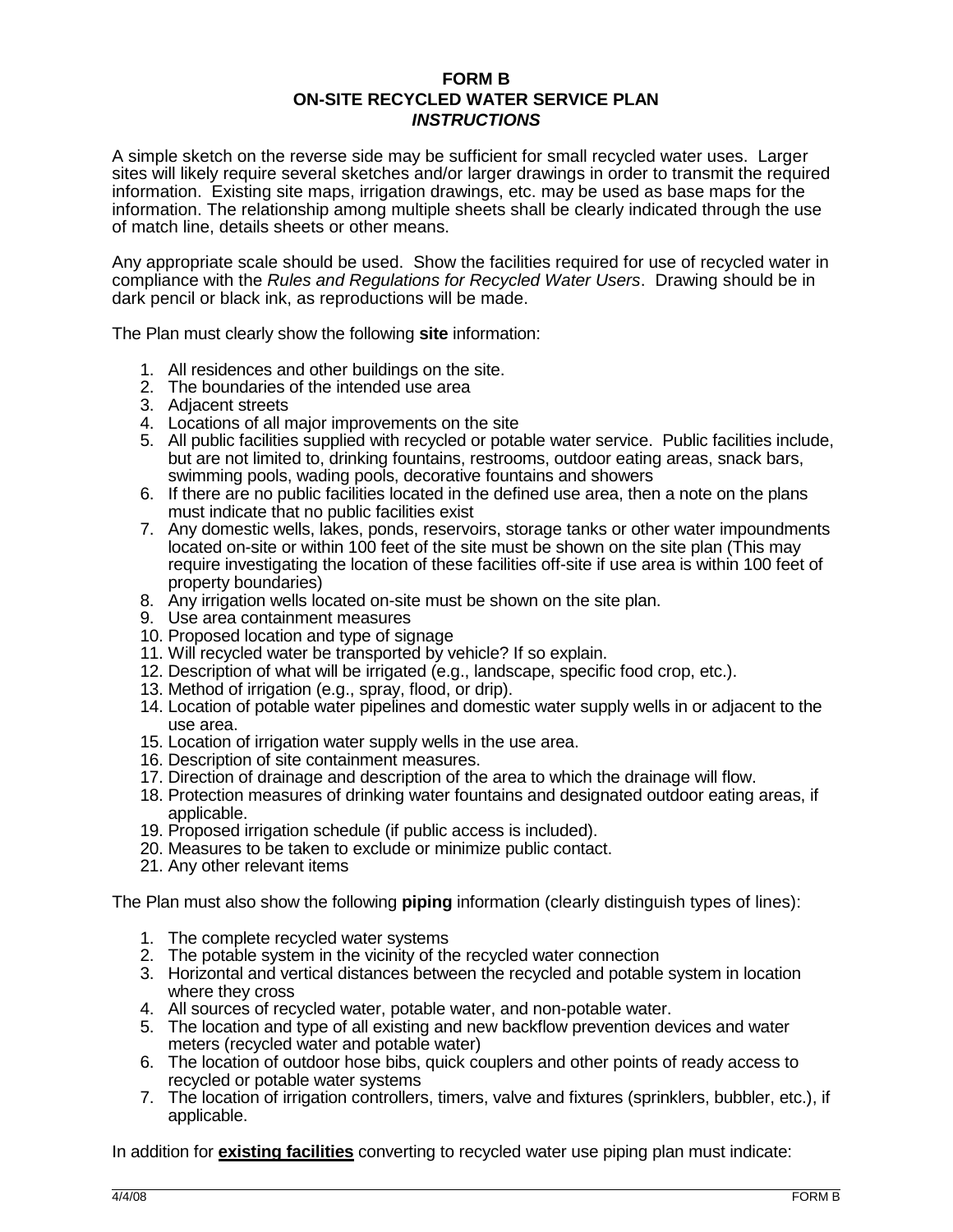#### **FORM B ON-SITE RECYCLED WATER SERVICE PLAN** *INSTRUCTIONS*

A simple sketch on the reverse side may be sufficient for small recycled water uses. Larger sites will likely require several sketches and/or larger drawings in order to transmit the required information. Existing site maps, irrigation drawings, etc. may be used as base maps for the information. The relationship among multiple sheets shall be clearly indicated through the use of match line, details sheets or other means.

Any appropriate scale should be used. Show the facilities required for use of recycled water in compliance with the *Rules and Regulations for Recycled Water Users*. Drawing should be in dark pencil or black ink, as reproductions will be made.

The Plan must clearly show the following **site** information:

- 1. All residences and other buildings on the site.
- 2. The boundaries of the intended use area
- 3. Adjacent streets
- 4. Locations of all major improvements on the site
- 5. All public facilities supplied with recycled or potable water service. Public facilities include, but are not limited to, drinking fountains, restrooms, outdoor eating areas, snack bars, swimming pools, wading pools, decorative fountains and showers
- 6. If there are no public facilities located in the defined use area, then a note on the plans must indicate that no public facilities exist
- 7. Any domestic wells, lakes, ponds, reservoirs, storage tanks or other water impoundments located on-site or within 100 feet of the site must be shown on the site plan (This may require investigating the location of these facilities off-site if use area is within 100 feet of property boundaries)
- 8. Any irrigation wells located on-site must be shown on the site plan.
- 9. Use area containment measures
- 10. Proposed location and type of signage
- 11. Will recycled water be transported by vehicle? If so explain.
- 12. Description of what will be irrigated (e.g., landscape, specific food crop, etc.).
- 13. Method of irrigation (e.g., spray, flood, or drip).
- 14. Location of potable water pipelines and domestic water supply wells in or adjacent to the use area.
- 15. Location of irrigation water supply wells in the use area.
- 16. Description of site containment measures.
- 17. Direction of drainage and description of the area to which the drainage will flow.
- 18. Protection measures of drinking water fountains and designated outdoor eating areas, if applicable.
- 19. Proposed irrigation schedule (if public access is included).
- 20. Measures to be taken to exclude or minimize public contact.
- 21. Any other relevant items

The Plan must also show the following **piping** information (clearly distinguish types of lines):

- 1. The complete recycled water systems
- 2. The potable system in the vicinity of the recycled water connection
- 3. Horizontal and vertical distances between the recycled and potable system in location where they cross
- 4. All sources of recycled water, potable water, and non-potable water.
- 5. The location and type of all existing and new backflow prevention devices and water meters (recycled water and potable water)
- 6. The location of outdoor hose bibs, quick couplers and other points of ready access to recycled or potable water systems
- 7. The location of irrigation controllers, timers, valve and fixtures (sprinklers, bubbler, etc.), if applicable.

In addition for **existing facilities** converting to recycled water use piping plan must indicate: